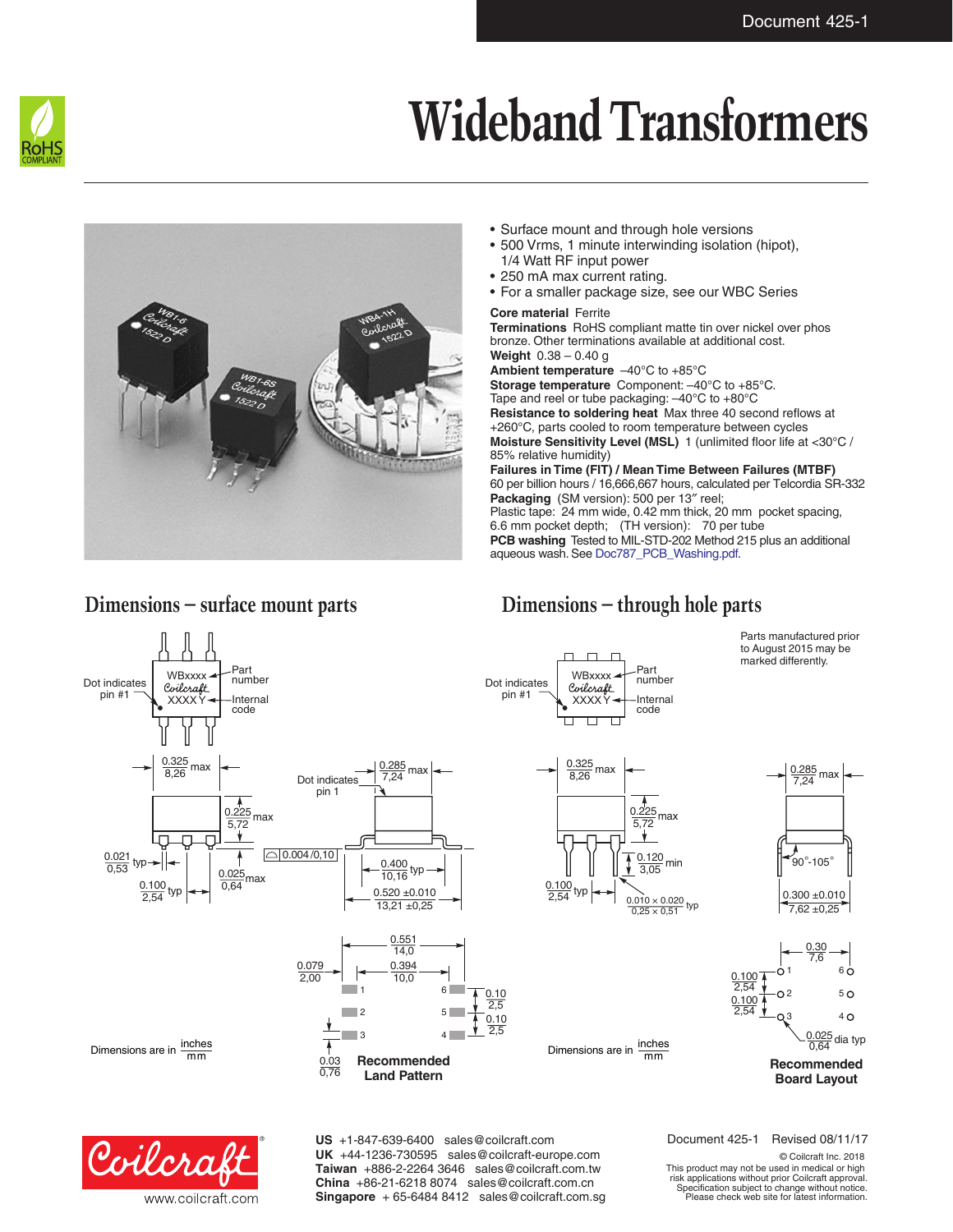

# **Wideband Transformers**



#### • Surface mount and through hole versions • 500 Vrms, 1 minute interwinding isolation (hipot), 1/4 Watt RF input power

- 250 mA max current rating.
- For a smaller package size, see our WBC Series

### **Core material** Ferrite

**Terminations** RoHS compliant matte tin over nickel over phos bronze. Other terminations available at additional cost. **Weight** 0.38 – 0.40 g **Ambient temperature** –40°C to +85°C **Storage temperature** Component: –40°C to +85°C. Tape and reel or tube packaging: –40°C to +80°C **Resistance to soldering heat** Max three 40 second reflows at +260°C, parts cooled to room temperature between cycles **Moisture Sensitivity Level (MSL)** 1 (unlimited floor life at <30°C / 85% relative humidity) **Failures in Time (FIT) / Mean Time Between Failures (MTBF)** 60 per billion hours / 16,666,667 hours, calculated per Telcordia SR-332 **Packaging** (SM version): 500 per 13″ reel; Plastic tape: 24 mm wide, 0.42 mm thick, 20 mm pocket spacing, 6.6 mm pocket depth; (TH version): 70 per tube **PCB washing** Tested to MIL-STD-202 Method 215 plus an additional aqueous wash. See [Doc787\\_PCB\\_Washing.pdf](http://www.coilcraft.com/pdfs/Doc787_PCB_Washing.pdf).



Coilcra www.coilcraft.com **US** +1-847-639-6400 sales@coilcraft.com **UK** +44-1236-730595 sales@coilcraft-europe.com **Taiwan** +886-2-2264 3646 sales@coilcraft.com.tw **China** +86-21-6218 8074 sales@coilcraft.com.cn **Singapore** + 65-6484 8412 sales@coilcraft.com.sg Document 425-1 Revised 08/11/17

© Coilcraft Inc. 2018 This product may not be used in medical or high risk applications without prior Coilcraft approval. Specification subject to change without notice. Please check web site for latest information.

## **Dimensions – surface mount parts Dimensions – through hole parts**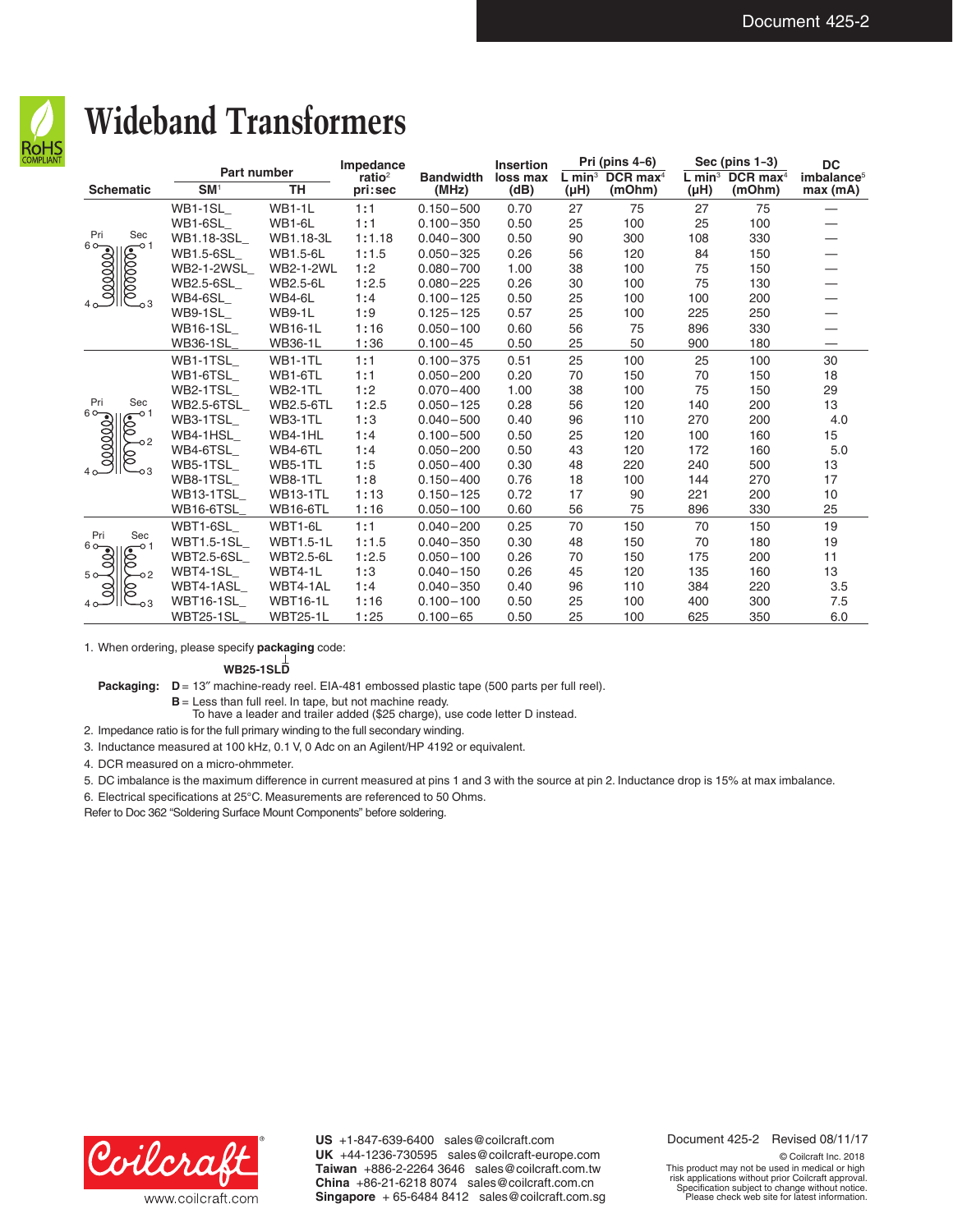

## **Wideband Transformers**

|                                                                          | <b>Part number</b> |                  | Impedance                     |                           | <b>Insertion</b> | Pri (pins 4-6) |                                                   | Sec (pins $1-3$ )                 |                                  | <b>DC</b>                         |
|--------------------------------------------------------------------------|--------------------|------------------|-------------------------------|---------------------------|------------------|----------------|---------------------------------------------------|-----------------------------------|----------------------------------|-----------------------------------|
| <b>Schematic</b>                                                         | SM <sup>1</sup>    | <b>TH</b>        | ratio <sup>2</sup><br>pri:sec | <b>Bandwidth</b><br>(MHz) | loss max<br>(dB) | $(\mu H)$      | L min <sup>3</sup> DCR max <sup>4</sup><br>(mOhm) | $L$ min <sup>3</sup><br>$(\mu H)$ | $DCR$ max <sup>4</sup><br>(mOhm) | imbalance <sup>5</sup><br>max(mA) |
| Pri<br>Sec<br>$\frac{1}{2000000}$<br>$\frac{1}{\sqrt{200000}}$<br>$-0.3$ | WB1-1SL            | <b>WB1-1L</b>    | 1:1                           | $0.150 - 500$             | 0.70             | 27             | 75                                                | 27                                | 75                               |                                   |
|                                                                          | WB1-6SL            | <b>WB1-6L</b>    | 1:1                           | $0.100 - 350$             | 0.50             | 25             | 100                                               | 25                                | 100                              |                                   |
|                                                                          | WB1.18-3SL         | WB1.18-3L        | 1:1.18                        | $0.040 - 300$             | 0.50             | 90             | 300                                               | 108                               | 330                              |                                   |
|                                                                          | WB1.5-6SL          | <b>WB1.5-6L</b>  | 1:1.5                         | $0.050 - 325$             | 0.26             | 56             | 120                                               | 84                                | 150                              |                                   |
|                                                                          | <b>WB2-1-2WSL</b>  | <b>WB2-1-2WL</b> | 1:2                           | $0.080 - 700$             | 1.00             | 38             | 100                                               | 75                                | 150                              |                                   |
|                                                                          | WB2.5-6SL          | <b>WB2.5-6L</b>  | 1:2.5                         | $0.080 - 225$             | 0.26             | 30             | 100                                               | 75                                | 130                              |                                   |
|                                                                          | WB4-6SL            | WB4-6L           | 1:4                           | $0.100 - 125$             | 0.50             | 25             | 100                                               | 100                               | 200                              |                                   |
|                                                                          | WB9-1SL            | <b>WB9-1L</b>    | 1:9                           | $0.125 - 125$             | 0.57             | 25             | 100                                               | 225                               | 250                              |                                   |
|                                                                          | <b>WB16-1SL</b>    | <b>WB16-1L</b>   | 1:16                          | $0.050 - 100$             | 0.60             | 56             | 75                                                | 896                               | 330                              |                                   |
|                                                                          | <b>WB36-1SL</b>    | <b>WB36-1L</b>   | 1:36                          | $0.100 - 45$              | 0.50             | 25             | 50                                                | 900                               | 180                              |                                   |
| Pri<br>Sec<br><u>ം</u><br>ഇമ്മാരി<br>-0 1<br>É<br>8                      | WB1-1TSL           | WB1-1TL          | 1:1                           | $0.100 - 375$             | 0.51             | 25             | 100                                               | 25                                | 100                              | 30                                |
|                                                                          | WB1-6TSL           | WB1-6TL          | 1:1                           | $0.050 - 200$             | 0.20             | 70             | 150                                               | 70                                | 150                              | 18                                |
|                                                                          | WB2-1TSL           | WB2-1TL          | 1:2                           | $0.070 - 400$             | 1.00             | 38             | 100                                               | 75                                | 150                              | 29                                |
|                                                                          | <b>WB2.5-6TSL</b>  | <b>WB2.5-6TL</b> | 1:2.5                         | $0.050 - 125$             | 0.28             | 56             | 120                                               | 140                               | 200                              | 13                                |
|                                                                          | WB3-1TSL           | WB3-1TL          | 1:3                           | $0.040 - 500$             | 0.40             | 96             | 110                                               | 270                               | 200                              | 4.0                               |
|                                                                          | WB4-1HSL           | WB4-1HL          | 1:4                           | $0.100 - 500$             | 0.50             | 25             | 120                                               | 100                               | 160                              | 15                                |
|                                                                          | WB4-6TSL           | WB4-6TL          | 1:4                           | $0.050 - 200$             | 0.50             | 43             | 120                                               | 172                               | 160                              | 5.0                               |
|                                                                          | WB5-1TSL           | WB5-1TL          | 1:5                           | $0.050 - 400$             | 0.30             | 48             | 220                                               | 240                               | 500                              | 13                                |
|                                                                          | WB8-1TSL           | WB8-1TL          | 1:8                           | $0.150 - 400$             | 0.76             | 18             | 100                                               | 144                               | 270                              | 17                                |
|                                                                          | WB13-1TSL          | <b>WB13-1TL</b>  | 1:13                          | $0.150 - 125$             | 0.72             | 17             | 90                                                | 221                               | 200                              | 10                                |
|                                                                          | WB16-6TSL          | <b>WB16-6TL</b>  | 1:16                          | $0.050 - 100$             | 0.60             | 56             | 75                                                | 896                               | 330                              | 25                                |
| Pri<br>Sec<br>$60 -$<br>-0 1<br>⋐<br>Š<br>⊳<br>5 <sub>o</sub><br>8<br>8  | WBT1-6SL           | WBT1-6L          | 1:1                           | $0.040 - 200$             | 0.25             | 70             | 150                                               | 70                                | 150                              | 19                                |
|                                                                          | <b>WBT1.5-1SL</b>  | <b>WBT1.5-1L</b> | 1:1.5                         | $0.040 - 350$             | 0.30             | 48             | 150                                               | 70                                | 180                              | 19                                |
|                                                                          | <b>WBT2.5-6SL</b>  | <b>WBT2.5-6L</b> | 1:2.5                         | $0.050 - 100$             | 0.26             | 70             | 150                                               | 175                               | 200                              | 11                                |
|                                                                          | WBT4-1SL           | WBT4-1L          | 1:3                           | $0.040 - 150$             | 0.26             | 45             | 120                                               | 135                               | 160                              | 13                                |
|                                                                          | WBT4-1ASL          | WBT4-1AL         | 1:4                           | $0.040 - 350$             | 0.40             | 96             | 110                                               | 384                               | 220                              | 3.5                               |
|                                                                          | WBT16-1SL          | <b>WBT16-1L</b>  | 1:16                          | $0.100 - 100$             | 0.50             | 25             | 100                                               | 400                               | 300                              | 7.5                               |
|                                                                          | <b>WBT25-1SL</b>   | <b>WBT25-1L</b>  | 1:25                          | $0.100 - 65$              | 0.50             | 25             | 100                                               | 625                               | 350                              | 6.0                               |

1. When ordering, please specify **packaging** code:

**WB25-1SLD**

Packaging:  $D = 13''$  machine-ready reel. EIA-481 embossed plastic tape (500 parts per full reel).

**B** = Less than full reel. In tape, but not machine ready.

To have a leader and trailer added (\$25 charge), use code letter D instead.

2. Impedance ratio is for the full primary winding to the full secondary winding.

3. Inductance measured at 100 kHz, 0.1 V, 0 Adc on an Agilent/HP 4192 or equivalent.

4. DCR measured on a micro-ohmmeter.

5. DC imbalance is the maximum difference in current measured at pins 1 and 3 with the source at pin 2. Inductance drop is 15% at max imbalance.

6. Electrical specifications at 25°C. Measurements are referenced to 50 Ohms.

Refer to Doc 362 "Soldering Surface Mount Components" before soldering.



**US** +1-847-639-6400 sales@coilcraft.com **UK** +44-1236-730595 sales@coilcraft-europe.com **Taiwan** +886-2-2264 3646 sales@coilcraft.com.tw **China** +86-21-6218 8074 sales@coilcraft.com.cn **Singapore** + 65-6484 8412 sales@coilcraft.com.sg Document 425-2 Revised 08/11/17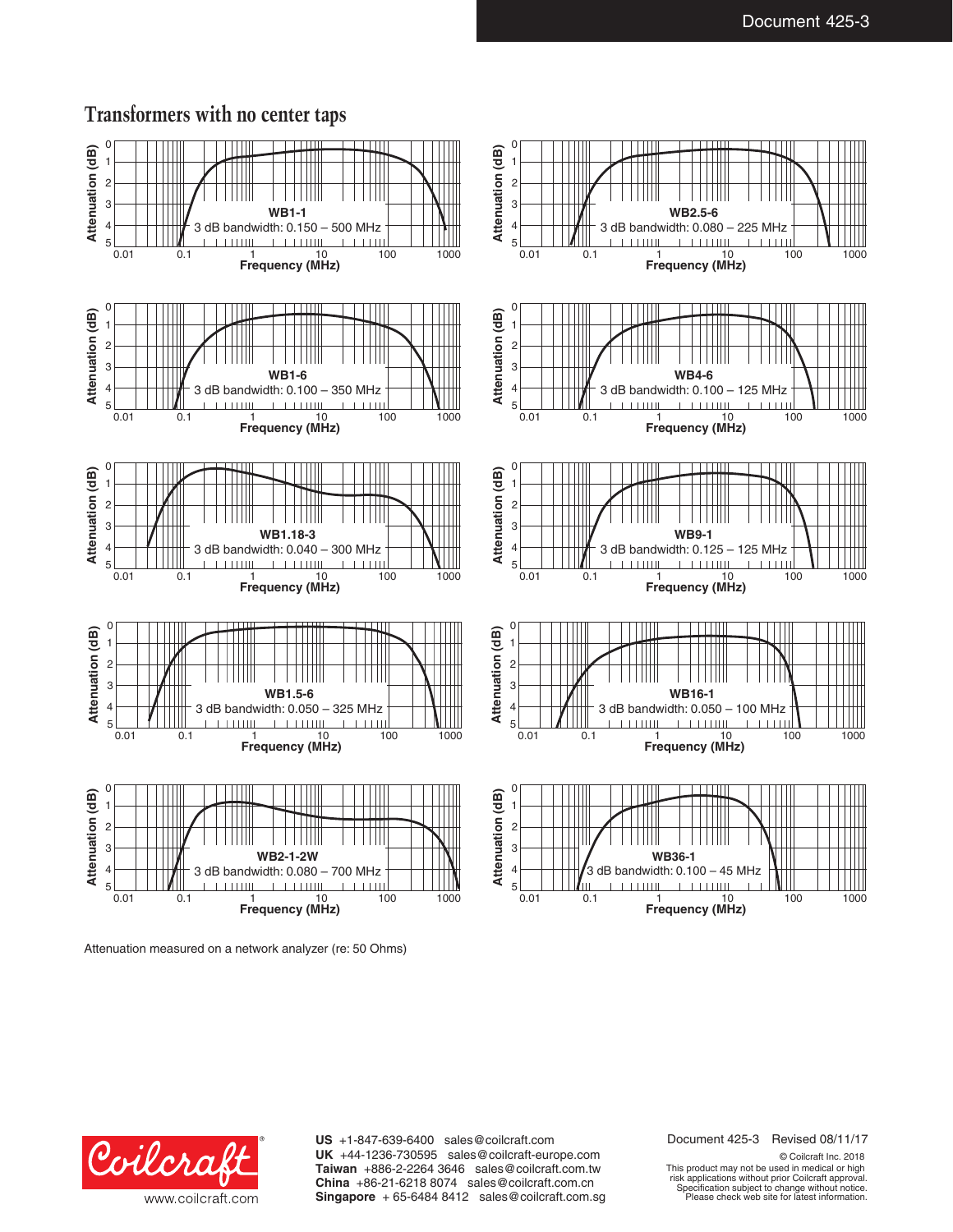## **Transformers with no center taps**



Attenuation measured on a network analyzer (re: 50 Ohms)

Document 425-3 Revised 08/11/17

Coilcra www.coilcraft.com **US** +1-847-639-6400 sales@coilcraft.com **UK** +44-1236-730595 sales@coilcraft-europe.com **Taiwan** +886-2-2264 3646 sales@coilcraft.com.tw **China** +86-21-6218 8074 sales@coilcraft.com.cn **Singapore** + 65-6484 8412 sales@coilcraft.com.sg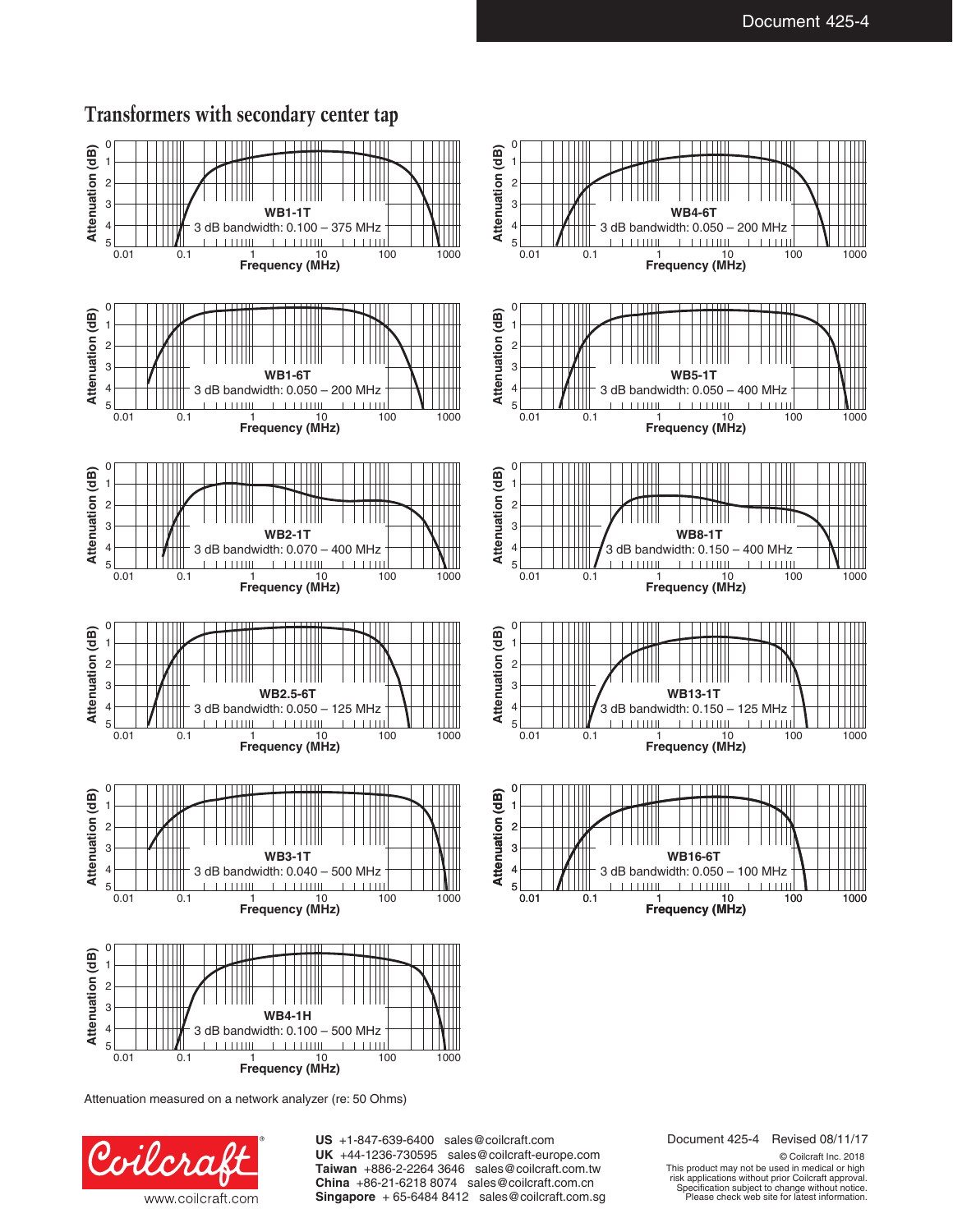

## **Transformers with secondary center tap**

Attenuation measured on a network analyzer (re: 50 Ohms)



**US** +1-847-639-6400 sales@coilcraft.com **UK** +44-1236-730595 sales@coilcraft-europe.com **Taiwan** +886-2-2264 3646 sales@coilcraft.com.tw **China** +86-21-6218 8074 sales@coilcraft.com.cn **Singapore** + 65-6484 8412 sales@coilcraft.com.sg Document 425-4 Revised 08/11/17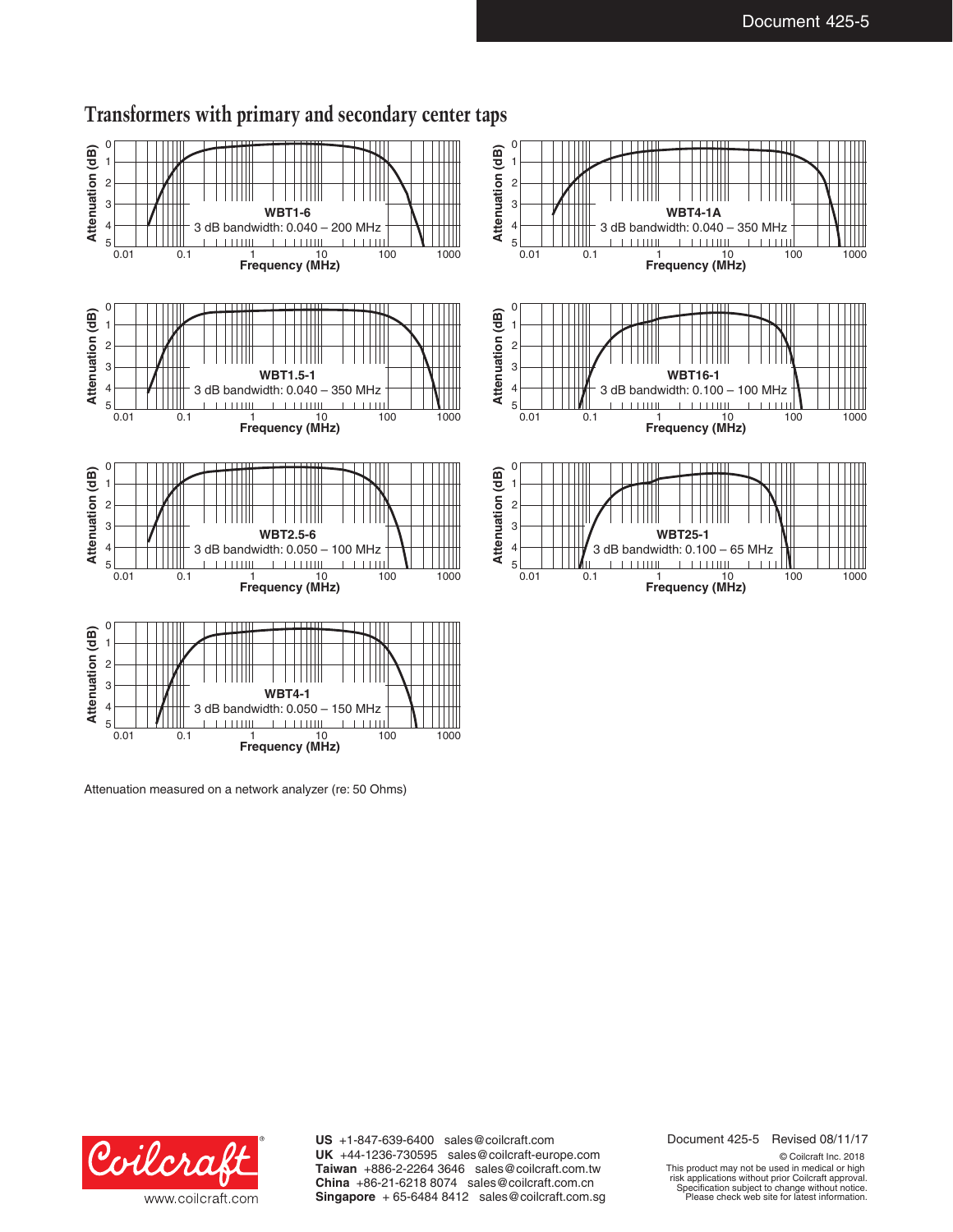

## **Transformers with primary and secondary center taps**

Attenuation measured on a network analyzer (re: 50 Ohms)

0.01 0.1 1 10 100 1000 **Frequency (MHz)**



**US** +1-847-639-6400 sales@coilcraft.com **UK** +44-1236-730595 sales@coilcraft-europe.com **Taiwan** +886-2-2264 3646 sales@coilcraft.com.tw **China** +86-21-6218 8074 sales@coilcraft.com.cn **Singapore** + 65-6484 8412 sales@coilcraft.com.sg Document 425-5 Revised 08/11/17